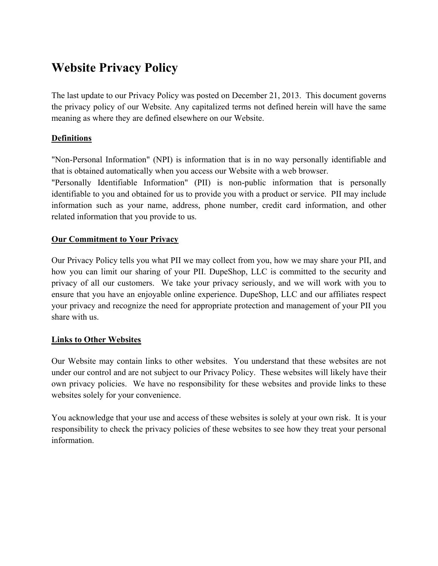# **Website Privacy Policy**

The last update to our Privacy Policy was posted on December 21, 2013. This document governs the privacy policy of our Website. Any capitalized terms not defined herein will have the same meaning as where they are defined elsewhere on our Website.

# **Definitions**

"Non-Personal Information" (NPI) is information that is in no way personally identifiable and that is obtained automatically when you access our Website with a web browser.

"Personally Identifiable Information" (PII) is non-public information that is personally identifiable to you and obtained for us to provide you with a product or service. PII may include information such as your name, address, phone number, credit card information, and other related information that you provide to us.

## **Our Commitment to Your Privacy**

Our Privacy Policy tells you what PII we may collect from you, how we may share your PII, and how you can limit our sharing of your PII. DupeShop, LLC is committed to the security and privacy of all our customers. We take your privacy seriously, and we will work with you to ensure that you have an enjoyable online experience. DupeShop, LLC and our affiliates respect your privacy and recognize the need for appropriate protection and management of your PII you share with us.

## **Links to Other Websites**

Our Website may contain links to other websites. You understand that these websites are not under our control and are not subject to our Privacy Policy. These websites will likely have their own privacy policies. We have no responsibility for these websites and provide links to these websites solely for your convenience.

You acknowledge that your use and access of these websites is solely at your own risk. It is your responsibility to check the privacy policies of these websites to see how they treat your personal information.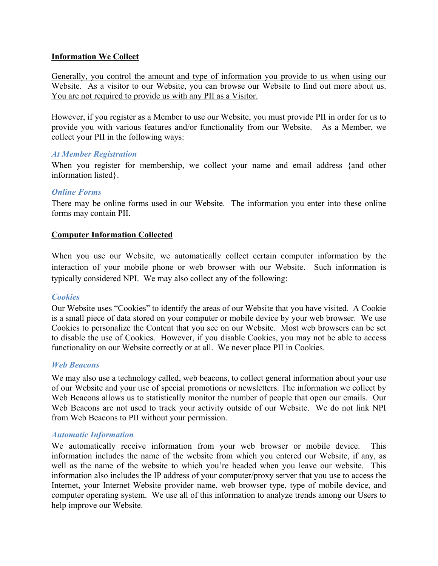#### **Information We Collect**

Generally, you control the amount and type of information you provide to us when using our Website. As a visitor to our Website, you can browse our Website to find out more about us. You are not required to provide us with any PII as a Visitor.

However, if you register as a Member to use our Website, you must provide PII in order for us to provide you with various features and/or functionality from our Website. As a Member, we collect your PII in the following ways:

#### *At Member Registration*

When you register for membership, we collect your name and email address {and other information listed}.

#### *Online Forms*

There may be online forms used in our Website. The information you enter into these online forms may contain PII.

#### **Computer Information Collected**

When you use our Website, we automatically collect certain computer information by the interaction of your mobile phone or web browser with our Website. Such information is typically considered NPI. We may also collect any of the following:

#### *Cookies*

Our Website uses "Cookies" to identify the areas of our Website that you have visited. A Cookie is a small piece of data stored on your computer or mobile device by your web browser. We use Cookies to personalize the Content that you see on our Website. Most web browsers can be set to disable the use of Cookies. However, if you disable Cookies, you may not be able to access functionality on our Website correctly or at all. We never place PII in Cookies.

#### *Web Beacons*

We may also use a technology called, web beacons, to collect general information about your use of our Website and your use of special promotions or newsletters. The information we collect by Web Beacons allows us to statistically monitor the number of people that open our emails. Our Web Beacons are not used to track your activity outside of our Website. We do not link NPI from Web Beacons to PII without your permission.

#### *Automatic Information*

We automatically receive information from your web browser or mobile device. This information includes the name of the website from which you entered our Website, if any, as well as the name of the website to which you're headed when you leave our website. This information also includes the IP address of your computer/proxy server that you use to access the Internet, your Internet Website provider name, web browser type, type of mobile device, and computer operating system. We use all of this information to analyze trends among our Users to help improve our Website.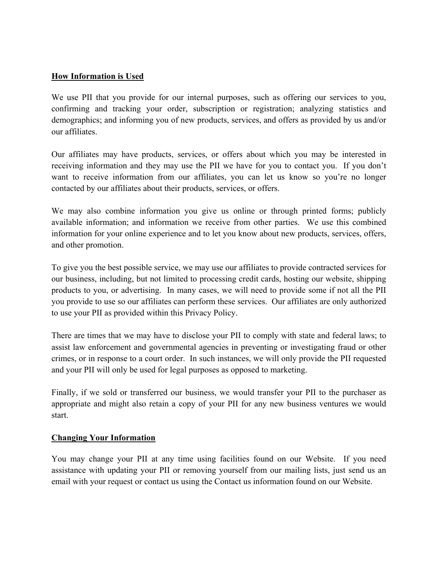#### **How Information is Used**

We use PII that you provide for our internal purposes, such as offering our services to you, confirming and tracking your order, subscription or registration; analyzing statistics and demographics; and informing you of new products, services, and offers as provided by us and/or our affiliates.

Our affiliates may have products, services, or offers about which you may be interested in receiving information and they may use the PII we have for you to contact you. If you don't want to receive information from our affiliates, you can let us know so you're no longer contacted by our affiliates about their products, services, or offers.

We may also combine information you give us online or through printed forms; publicly available information; and information we receive from other parties. We use this combined information for your online experience and to let you know about new products, services, offers, and other promotion.

To give you the best possible service, we may use our affiliates to provide contracted services for our business, including, but not limited to processing credit cards, hosting our website, shipping products to you, or advertising. In many cases, we will need to provide some if not all the PII you provide to use so our affiliates can perform these services. Our affiliates are only authorized to use your PII as provided within this Privacy Policy.

There are times that we may have to disclose your PII to comply with state and federal laws; to assist law enforcement and governmental agencies in preventing or investigating fraud or other crimes, or in response to a court order. In such instances, we will only provide the PII requested and your PII will only be used for legal purposes as opposed to marketing.

Finally, if we sold or transferred our business, we would transfer your PII to the purchaser as appropriate and might also retain a copy of your PII for any new business ventures we would start.

#### **Changing Your Information**

You may change your PII at any time using facilities found on our Website. If you need assistance with updating your PII or removing yourself from our mailing lists, just send us an email with your request or contact us using the Contact us information found on our Website.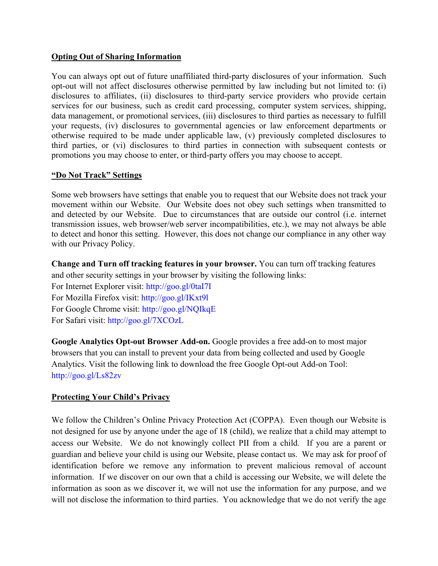## **Opting Out of Sharing Information**

You can always opt out of future unaffiliated third-party disclosures of your information. Such opt-out will not affect disclosures otherwise permitted by law including but not limited to: (i) disclosures to affiliates, (ii) disclosures to third-party service providers who provide certain services for our business, such as credit card processing, computer system services, shipping, data management, or promotional services, (iii) disclosures to third parties as necessary to fulfill your requests, (iv) disclosures to governmental agencies or law enforcement departments or otherwise required to be made under applicable law, (v) previously completed disclosures to third parties, or (vi) disclosures to third parties in connection with subsequent contests or promotions you may choose to enter, or third-party offers you may choose to accept.

## **"Do Not Track" Settings**

Some web browsers have settings that enable you to request that our Website does not track your movement within our Website. Our Website does not obey such settings when transmitted to and detected by our Website. Due to circumstances that are outside our control (i.e. internet transmission issues, web browser/web server incompatibilities, etc.), we may not always be able to detect and honor this setting. However, this does not change our compliance in any other way with our Privacy Policy.

**Change and Turn off tracking features in your browser.** You can turn off tracking features and other security settings in your browser by visiting the following links:

For Internet Explorer visit: http://goo.gl/0taI7I For Mozilla Firefox visit: http://goo.gl/IKxt9l For Google Chrome visit: http://goo.gl/NQIkqE For Safari visit: http://goo.gl/7XCOzL

**Google Analytics Opt-out Browser Add-on.** Google provides a free add-on to most major browsers that you can install to prevent your data from being collected and used by Google Analytics. Visit the following link to download the free Google Opt-out Add-on Tool: http://goo.gl/Ls82zv

## **Protecting Your Child's Privacy**

We follow the Children's Online Privacy Protection Act (COPPA). Even though our Website is not designed for use by anyone under the age of 18 (child), we realize that a child may attempt to access our Website. We do not knowingly collect PII from a child. If you are a parent or guardian and believe your child is using our Website, please contact us. We may ask for proof of identification before we remove any information to prevent malicious removal of account information. If we discover on our own that a child is accessing our Website, we will delete the information as soon as we discover it, we will not use the information for any purpose, and we will not disclose the information to third parties. You acknowledge that we do not verify the age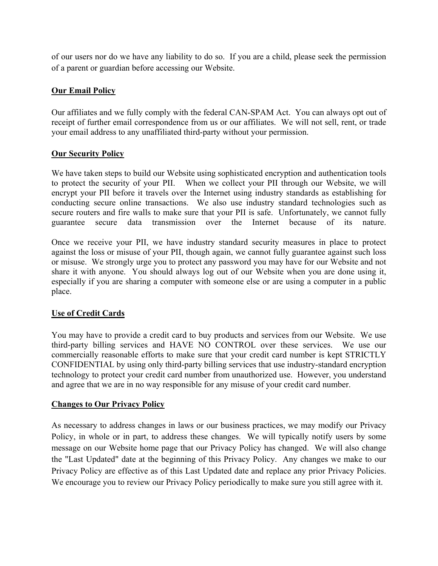of our users nor do we have any liability to do so. If you are a child, please seek the permission of a parent or guardian before accessing our Website.

## **Our Email Policy**

Our affiliates and we fully comply with the federal CAN-SPAM Act. You can always opt out of receipt of further email correspondence from us or our affiliates. We will not sell, rent, or trade your email address to any unaffiliated third-party without your permission.

#### **Our Security Policy**

We have taken steps to build our Website using sophisticated encryption and authentication tools to protect the security of your PII. When we collect your PII through our Website, we will encrypt your PII before it travels over the Internet using industry standards as establishing for conducting secure online transactions. We also use industry standard technologies such as secure routers and fire walls to make sure that your PII is safe. Unfortunately, we cannot fully guarantee secure data transmission over the Internet because of its nature.

Once we receive your PII, we have industry standard security measures in place to protect against the loss or misuse of your PII, though again, we cannot fully guarantee against such loss or misuse. We strongly urge you to protect any password you may have for our Website and not share it with anyone. You should always log out of our Website when you are done using it, especially if you are sharing a computer with someone else or are using a computer in a public place.

## **Use of Credit Cards**

You may have to provide a credit card to buy products and services from our Website. We use third-party billing services and HAVE NO CONTROL over these services. We use our commercially reasonable efforts to make sure that your credit card number is kept STRICTLY CONFIDENTIAL by using only third-party billing services that use industry-standard encryption technology to protect your credit card number from unauthorized use. However, you understand and agree that we are in no way responsible for any misuse of your credit card number.

## **Changes to Our Privacy Policy**

As necessary to address changes in laws or our business practices, we may modify our Privacy Policy, in whole or in part, to address these changes. We will typically notify users by some message on our Website home page that our Privacy Policy has changed. We will also change the "Last Updated" date at the beginning of this Privacy Policy. Any changes we make to our Privacy Policy are effective as of this Last Updated date and replace any prior Privacy Policies. We encourage you to review our Privacy Policy periodically to make sure you still agree with it.